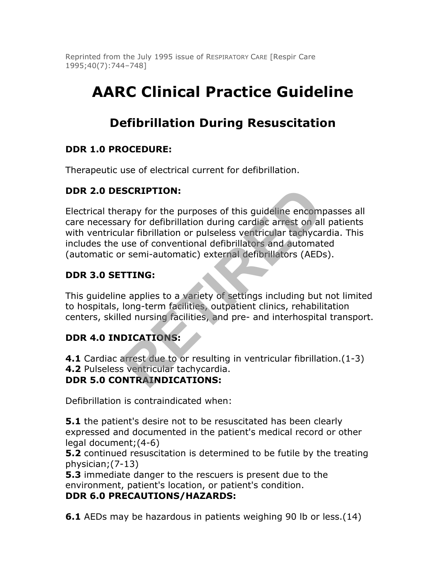Reprinted from the July 1995 issue of RESPIRATORY CARE [Respir Care 1995;40(7):744–748]

# **AARC Clinical Practice Guideline**

## **Defibrillation During Resuscitation**

## **DDR 1.0 PROCEDURE:**

Therapeutic use of electrical current for defibrillation.

## **DDR 2.0 DESCRIPTION:**

Electrical therapy for the purposes of this guideline encompasses all care necessary for defibrillation during cardiac arrest on all patients with ventricular fibrillation or pulseless ventricular tachycardia. This includes the use of conventional defibrillators and automated (automatic or semi-automatic) external defibrillators (AEDs). **SCRIPTION:**<br>
rapy for the purposes of this guideline encomplement and the purposes of this guideline encomplement of the purposes ventricular tachycal<br>
llar fibrillation or pulseless ventricular tachycal<br>
and a distinct t

## **DDR 3.0 SETTING:**

This guideline applies to a variety of settings including but not limited to hospitals, long-term facilities, outpatient clinics, rehabilitation centers, skilled nursing facilities, and pre- and interhospital transport.

## **DDR 4.0 INDICATIONS:**

**4.1** Cardiac arrest due to or resulting in ventricular fibrillation.(1-3) **4.2** Pulseless ventricular tachycardia.

### **DDR 5.0 CONTRAINDICATIONS:**

Defibrillation is contraindicated when:

**5.1** the patient's desire not to be resuscitated has been clearly expressed and documented in the patient's medical record or other legal document;(4-6)

**5.2** continued resuscitation is determined to be futile by the treating physician;(7-13)

**5.3** immediate danger to the rescuers is present due to the environment, patient's location, or patient's condition.

### **DDR 6.0 PRECAUTIONS/HAZARDS:**

**6.1** AEDs may be hazardous in patients weighing 90 lb or less. (14)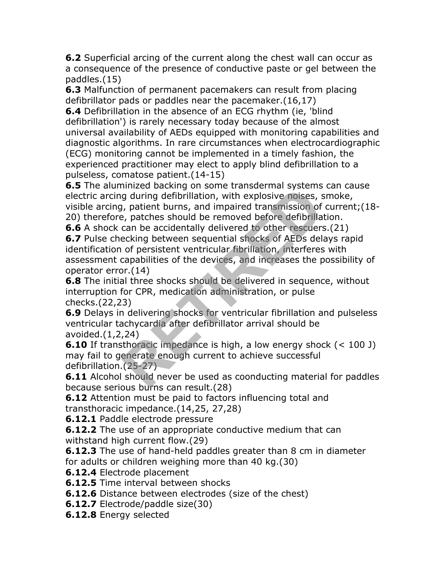**6.2** Superficial arcing of the current along the chest wall can occur as a consequence of the presence of conductive paste or gel between the paddles.(15)

**6.3** Malfunction of permanent pacemakers can result from placing defibrillator pads or paddles near the pacemaker.(16,17)

**6.4** Defibrillation in the absence of an ECG rhythm (ie, 'blind defibrillation') is rarely necessary today because of the almost universal availability of AEDs equipped with monitoring capabilities and diagnostic algorithms. In rare circumstances when electrocardiographic (ECG) monitoring cannot be implemented in a timely fashion, the experienced practitioner may elect to apply blind defibrillation to a pulseless, comatose patient.(14-15)

**6.5** The aluminized backing on some transdermal systems can cause electric arcing during defibrillation, with explosive noises, smoke, visible arcing, patient burns, and impaired transmission of current;(18- 20) therefore, patches should be removed before defibrillation.

**6.6** A shock can be accidentally delivered to other rescuers.(21) **6.7** Pulse checking between sequential shocks of AEDs delays rapid identification of persistent ventricular fibrillation, interferes with assessment capabilities of the devices, and increases the possibility of operator error.(14) If the burst of the used is conducting the section<br>(1.25-27)<br>The section of the section of the used of the section<br>(1.14)<br>al three should be removed before defibrilla<br>can be accidentally delivered to other rescuents<br>ecking

**6.8** The initial three shocks should be delivered in sequence, without interruption for CPR, medication administration, or pulse checks.(22,23)

**6.9** Delays in delivering shocks for ventricular fibrillation and pulseless ventricular tachycardia after defibrillator arrival should be avoided.(1,2,24)

**6.10** If transthoracic impedance is high, a low energy shock (< 100 J) may fail to generate enough current to achieve successful defibrillation.(25-27)

**6.11** Alcohol should never be used as coonducting material for paddles because serious burns can result.(28)

**6.12** Attention must be paid to factors influencing total and transthoracic impedance.(14,25, 27,28)

**6.12.1** Paddle electrode pressure

**6.12.2** The use of an appropriate conductive medium that can withstand high current flow.(29)

**6.12.3** The use of hand-held paddles greater than 8 cm in diameter for adults or children weighing more than 40 kg.(30)

**6.12.4** Electrode placement

**6.12.5** Time interval between shocks

**6.12.6** Distance between electrodes (size of the chest)

**6.12.7** Electrode/paddle size(30)

**6.12.8** Energy selected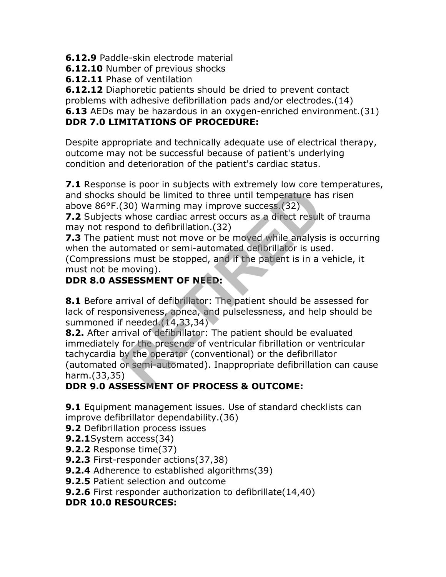**6.12.9** Paddle-skin electrode material

**6.12.10** Number of previous shocks

**6.12.11** Phase of ventilation

**6.12.12** Diaphoretic patients should be dried to prevent contact

problems with adhesive defibrillation pads and/or electrodes.(14)

**6.13** AEDs may be hazardous in an oxygen-enriched environment.(31)

## **DDR 7.0 LIMITATIONS OF PROCEDURE:**

Despite appropriate and technically adequate use of electrical therapy, outcome may not be successful because of patient's underlying condition and deterioration of the patient's cardiac status.

**7.1** Response is poor in subjects with extremely low core temperatures, and shocks should be limited to three until temperature has risen above 86°F.(30) Warming may improve success.(32)

**7.2** Subjects whose cardiac arrest occurs as a direct result of trauma may not respond to defibrillation.(32)

**7.3** The patient must not move or be moved while analysis is occurring when the automated or semi-automated defibrillator is used.

(Compressions must be stopped, and if the patient is in a vehicle, it must not be moving).

## **DDR 8.0 ASSESSMENT OF NEED:**

**8.1** Before arrival of defibrillator: The patient should be assessed for lack of responsiveness, apnea, and pulselessness, and help should be summoned if needed.(14,33,34)

**8.2.** After arrival of defibrillator: The patient should be evaluated immediately for the presence of ventricular fibrillation or ventricular tachycardia by the operator (conventional) or the defibrillator (automated or semi-automated). Inappropriate defibrillation can cause harm.(33,35) Example the presence of ventricular fibrillation<br>
thould be limited to three until temperature has<br>
(30) Warming may improve success.(32)<br>
whose cardiac arrest occurs as a direct result<br>
oned to defibrillation.(32)<br>
ond to

## **DDR 9.0 ASSESSMENT OF PROCESS & OUTCOME:**

**9.1** Equipment management issues. Use of standard checklists can improve defibrillator dependability.(36)

**9.2** Defibrillation process issues

- **9.2.1**System access(34)
- **9.2.2** Response time(37)
- **9.2.3** First-responder actions(37,38)
- **9.2.4** Adherence to established algorithms(39)
- **9.2.5** Patient selection and outcome
- **9.2.6** First responder authorization to defibrillate(14,40)

## **DDR 10.0 RESOURCES:**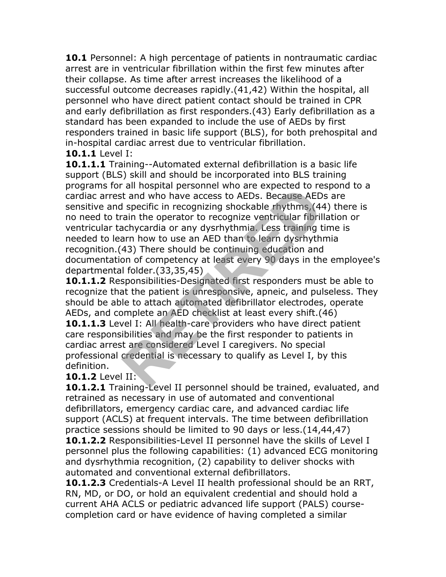**10.1** Personnel: A high percentage of patients in nontraumatic cardiac arrest are in ventricular fibrillation within the first few minutes after their collapse. As time after arrest increases the likelihood of a successful outcome decreases rapidly.(41,42) Within the hospital, all personnel who have direct patient contact should be trained in CPR and early defibrillation as first responders.(43) Early defibrillation as a standard has been expanded to include the use of AEDs by first responders trained in basic life support (BLS), for both prehospital and in-hospital cardiac arrest due to ventricular fibrillation.

**10.1.1** Level I:

**10.1.1.1** Training--Automated external defibrillation is a basic life support (BLS) skill and should be incorporated into BLS training programs for all hospital personnel who are expected to respond to a cardiac arrest and who have access to AEDs. Because AEDs are sensitive and specific in recognizing shockable rhythms,(44) there is no need to train the operator to recognize ventricular fibrillation or ventricular tachycardia or any dysrhythmia. Less training time is needed to learn how to use an AED than to learn dysrhythmia recognition.(43) There should be continuing education and documentation of competency at least every 90 days in the employee's departmental folder.(33,35,45) an Hospital personner who are expected to red that and who have access to AEDs. Because AED specific in recognizing shockable rhythms, (44 cain the operator to recognize ventricular fibril achycardia or any dysrhythmia. Le

**10.1.1.2** Responsibilities-Designated first responders must be able to recognize that the patient is unresponsive, apneic, and pulseless. They should be able to attach automated defibrillator electrodes, operate AEDs, and complete an AED checklist at least every shift.(46) **10.1.1.3** Level I: All health-care providers who have direct patient

care responsibilities and may be the first responder to patients in cardiac arrest are considered Level I caregivers. No special professional credential is necessary to qualify as Level I, by this definition.

**10.1.2** Level II:

**10.1.2.1** Training-Level II personnel should be trained, evaluated, and retrained as necessary in use of automated and conventional defibrillators, emergency cardiac care, and advanced cardiac life support (ACLS) at frequent intervals. The time between defibrillation practice sessions should be limited to 90 days or less.(14,44,47)

**10.1.2.2** Responsibilities-Level II personnel have the skills of Level I personnel plus the following capabilities: (1) advanced ECG monitoring and dysrhythmia recognition, (2) capability to deliver shocks with automated and conventional external defibrillators.

**10.1.2.3** Credentials-A Level II health professional should be an RRT, RN, MD, or DO, or hold an equivalent credential and should hold a current AHA ACLS or pediatric advanced life support (PALS) coursecompletion card or have evidence of having completed a similar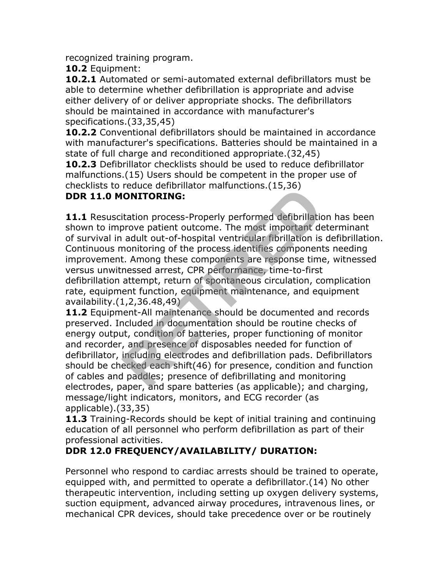recognized training program.

**10.2** Equipment:

**10.2.1** Automated or semi-automated external defibrillators must be able to determine whether defibrillation is appropriate and advise either delivery of or deliver appropriate shocks. The defibrillators should be maintained in accordance with manufacturer's specifications.(33,35,45)

**10.2.2** Conventional defibrillators should be maintained in accordance with manufacturer's specifications. Batteries should be maintained in a state of full charge and reconditioned appropriate.(32,45)

**10.2.3** Defibrillator checklists should be used to reduce defibrillator malfunctions.(15) Users should be competent in the proper use of checklists to reduce defibrillator malfunctions.(15,36)

#### **DDR 11.0 MONITORING:**

**11.1** Resuscitation process-Properly performed defibrillation has been shown to improve patient outcome. The most important determinant of survival in adult out-of-hospital ventricular fibrillation is defibrillation. Continuous monitoring of the process identifies components needing improvement. Among these components are response time, witnessed versus unwitnessed arrest, CPR performance, time-to-first defibrillation attempt, return of spontaneous circulation, complication rate, equipment function, equipment maintenance, and equipment availability.(1,2,36.48,49) **Follow Transfer Consumers**<br> **RETIRED**<br> **RETIRED**<br> **RETIRED**<br> **RETIRED**<br> **RETIRED**<br> **RETIRED**<br> **RETIRED**<br> **RETIRED**<br> **RETIRED**<br> **RETIRED**<br> **RETIRED**<br> **RETIRED**<br> **RETIRED**<br> **RETIRED**<br> **RETIRED**<br> **RETIRED**<br> **RETIRED**<br> **RETIR** 

**11.2** Equipment-All maintenance should be documented and records preserved. Included in documentation should be routine checks of energy output, condition of batteries, proper functioning of monitor and recorder, and presence of disposables needed for function of defibrillator, including electrodes and defibrillation pads. Defibrillators should be checked each shift(46) for presence, condition and function of cables and paddles; presence of defibrillating and monitoring electrodes, paper, and spare batteries (as applicable); and charging, message/light indicators, monitors, and ECG recorder (as applicable).(33,35)

**11.3** Training-Records should be kept of initial training and continuing education of all personnel who perform defibrillation as part of their professional activities.

### **DDR 12.0 FREQUENCY/AVAILABILITY/ DURATION:**

Personnel who respond to cardiac arrests should be trained to operate, equipped with, and permitted to operate a defibrillator.(14) No other therapeutic intervention, including setting up oxygen delivery systems, suction equipment, advanced airway procedures, intravenous lines, or mechanical CPR devices, should take precedence over or be routinely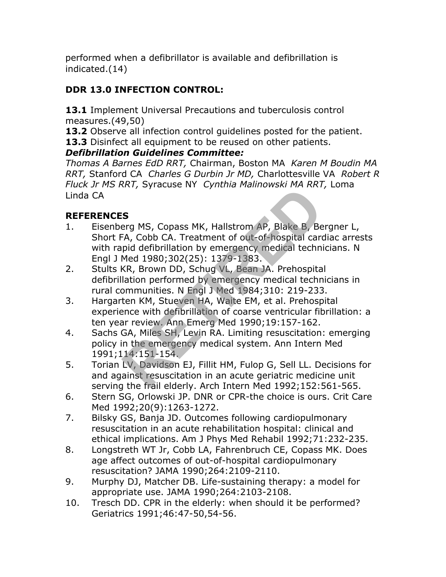performed when a defibrillator is available and defibrillation is indicated.(14)

## **DDR 13.0 INFECTION CONTROL:**

**13.1** Implement Universal Precautions and tuberculosis control measures.(49,50)

**13.2** Observe all infection control guidelines posted for the patient.

**13.3** Disinfect all equipment to be reused on other patients.

## *Defibrillation Guidelines Committee:*

*Thomas A Barnes EdD RRT,* Chairman, Boston MA *Karen M Boudin MA RRT,* Stanford CA *Charles G Durbin Jr MD,* Charlottesville VA *Robert R Fluck Jr MS RRT,* Syracuse NY *Cynthia Malinowski MA RRT,* Loma Linda CA

## **REFERENCES**

- 1. Eisenberg MS, Copass MK, Hallstrom AP, Blake B, Bergner L, Short FA, Cobb CA. Treatment of out-of-hospital cardiac arrests with rapid defibrillation by emergency medical technicians. N Engl J Med 1980;302(25): 1379-1383. **RETAIN Synchetic Community of the Synchetic SET (SP)**<br> **RETA, Copass MK, Hallstrom AP, Blake B, Be-**<br> **RETA, Cobb CA. Treatment of out-of-hospital cards**<br> **RETA, Cobb CA. Treatment of out-of-hospital cards**<br> **RETAL Med 19**
- 2. Stults KR, Brown DD, Schug VL, Bean JA. Prehospital defibrillation performed by emergency medical technicians in rural communities. N Engl J Med 1984;310: 219-233.
- 3. Hargarten KM, Stueven HA, Waite EM, et al. Prehospital experience with defibrillation of coarse ventricular fibrillation: a ten year review. Ann Emerg Med 1990;19:157-162.
- 4. Sachs GA, Miles SH, Levin RA. Limiting resuscitation: emerging policy in the emergency medical system. Ann Intern Med 1991;114:151-154.
- 5. Torian LV, Davidson EJ, Fillit HM, Fulop G, Sell LL. Decisions for and against resuscitation in an acute geriatric medicine unit serving the frail elderly. Arch Intern Med 1992;152:561-565.
- 6. Stern SG, Orlowski JP. DNR or CPR-the choice is ours. Crit Care Med 1992;20(9):1263-1272.
- 7. Bilsky GS, Banja JD. Outcomes following cardiopulmonary resuscitation in an acute rehabilitation hospital: clinical and ethical implications. Am J Phys Med Rehabil 1992;71:232-235.
- 8. Longstreth WT Jr, Cobb LA, Fahrenbruch CE, Copass MK. Does age affect outcomes of out-of-hospital cardiopulmonary resuscitation? JAMA 1990;264:2109-2110.
- 9. Murphy DJ, Matcher DB. Life-sustaining therapy: a model for appropriate use. JAMA 1990;264:2103-2108.
- 10. Tresch DD. CPR in the elderly: when should it be performed? Geriatrics 1991;46:47-50,54-56.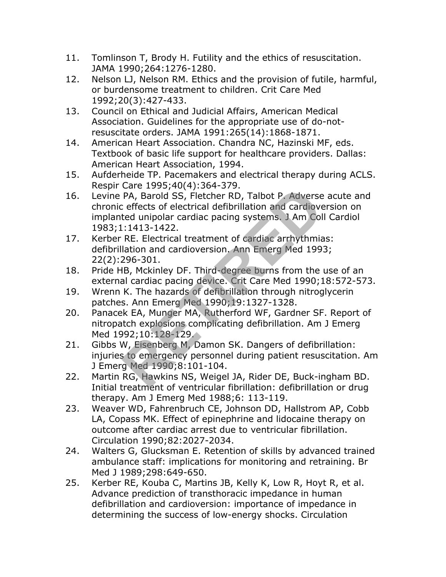- 11. Tomlinson T, Brody H. Futility and the ethics of resuscitation. JAMA 1990;264:1276-1280.
- 12. Nelson LJ, Nelson RM. Ethics and the provision of futile, harmful, or burdensome treatment to children. Crit Care Med 1992;20(3):427-433.
- 13. Council on Ethical and Judicial Affairs, American Medical Association. Guidelines for the appropriate use of do-notresuscitate orders. JAMA 1991:265(14):1868-1871.
- 14. American Heart Association. Chandra NC, Hazinski MF, eds. Textbook of basic life support for healthcare providers. Dallas: American Heart Association, 1994.
- 15. Aufderheide TP. Pacemakers and electrical therapy during ACLS. Respir Care 1995;40(4):364-379.
- 16. Levine PA, Barold SS, Fletcher RD, Talbot P. Adverse acute and chronic effects of electrical defibrillation and cardioversion on implanted unipolar cardiac pacing systems. J Am Coll Cardiol 1983;1:1413-1422. PA, Barold SS, Fletcher RD, Talbot P. Adverse<br>
ceffects of electrical defibrillation and cardiove<br>
ted unipolar cardiac pacing systems. J Am Col<br>
.:1413-1422.<br>
RE. Electrical treatment of cardiac arrhythmia<br>
lation and car
- 17. Kerber RE. Electrical treatment of cardiac arrhythmias: defibrillation and cardioversion. Ann Emerg Med 1993; 22(2):296-301.
- 18. Pride HB, Mckinley DF. Third-degree burns from the use of an external cardiac pacing device. Crit Care Med 1990;18:572-573.
- 19. Wrenn K. The hazards of defibrillation through nitroglycerin patches. Ann Emerg Med 1990;19:1327-1328.
- 20. Panacek EA, Munger MA, Rutherford WF, Gardner SF. Report of nitropatch explosions complicating defibrillation. Am J Emerg Med 1992;10:128-129.
- 21. Gibbs W, Eisenberg M, Damon SK. Dangers of defibrillation: injuries to emergency personnel during patient resuscitation. Am J Emerg Med 1990;8:101-104.
- 22. Martin RG, Hawkins NS, Weigel JA, Rider DE, Buck-ingham BD. Initial treatment of ventricular fibrillation: defibrillation or drug therapy. Am J Emerg Med 1988;6: 113-119.
- 23. Weaver WD, Fahrenbruch CE, Johnson DD, Hallstrom AP, Cobb LA, Copass MK. Effect of epinephrine and lidocaine therapy on outcome after cardiac arrest due to ventricular fibrillation. Circulation 1990;82:2027-2034.
- 24. Walters G, Glucksman E. Retention of skills by advanced trained ambulance staff: implications for monitoring and retraining. Br Med J 1989;298:649-650.
- 25. Kerber RE, Kouba C, Martins JB, Kelly K, Low R, Hoyt R, et al. Advance prediction of transthoracic impedance in human defibrillation and cardioversion: importance of impedance in determining the success of low-energy shocks. Circulation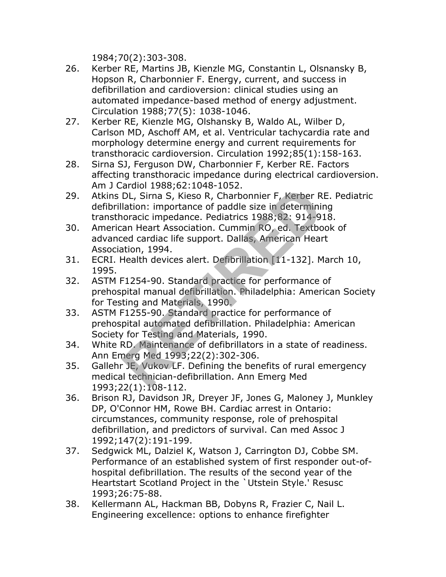1984;70(2):303-308.

- 26. Kerber RE, Martins JB, Kienzle MG, Constantin L, Olsnansky B, Hopson R, Charbonnier F. Energy, current, and success in defibrillation and cardioversion: clinical studies using an automated impedance-based method of energy adjustment. Circulation 1988;77(5): 1038-1046.
- 27. Kerber RE, Kienzle MG, Olshansky B, Waldo AL, Wilber D, Carlson MD, Aschoff AM, et al. Ventricular tachycardia rate and morphology determine energy and current requirements for transthoracic cardioversion. Circulation 1992;85(1):158-163.
- 28. Sirna SJ, Ferguson DW, Charbonnier F, Kerber RE. Factors affecting transthoracic impedance during electrical cardioversion. Am J Cardiol 1988;62:1048-1052.
- 29. Atkins DL, Sirna S, Kieso R, Charbonnier F, Kerber RE. Pediatric defibrillation: importance of paddle size in determining transthoracic impedance. Pediatrics 1988;82: 914-918.
- 30. American Heart Association. Cummin RO, ed. Textbook of advanced cardiac life support. Dallas, American Heart Association, 1994.
- 31. ECRI. Health devices alert. Defibrillation [11-132]. March 10, 1995.
- 32. ASTM F1254-90. Standard practice for performance of prehospital manual defibrillation. Philadelphia: American Society for Testing and Materials, 1990.
- 33. ASTM F1255-90. Standard practice for performance of prehospital automated defibrillation. Philadelphia: American Society for Testing and Materials, 1990. But alian 1500,02:10-0 1032.<br>
DL, Sirna S, Kieso R, Charbonnier F, Kerber R<br>
lation: importance of paddle size in determini<br>
oracic impedance. Pediatrics 1988;82: 914-9:<br>
an Heart Association. Cummin RO, ed. Textbo<br>
red ca
- 34. White RD. Maintenance of defibrillators in a state of readiness. Ann Emerg Med 1993;22(2):302-306.
- 35. Gallehr JE, Vukov LF. Defining the benefits of rural emergency medical technician-defibrillation. Ann Emerg Med 1993;22(1):108-112.
- 36. Brison RJ, Davidson JR, Dreyer JF, Jones G, Maloney J, Munkley DP, O'Connor HM, Rowe BH. Cardiac arrest in Ontario: circumstances, community response, role of prehospital defibrillation, and predictors of survival. Can med Assoc J 1992;147(2):191-199.
- 37. Sedgwick ML, Dalziel K, Watson J, Carrington DJ, Cobbe SM. Performance of an established system of first responder out-ofhospital defibrillation. The results of the second year of the Heartstart Scotland Project in the `Utstein Style.' Resusc 1993;26:75-88.
- 38. Kellermann AL, Hackman BB, Dobyns R, Frazier C, Nail L. Engineering excellence: options to enhance firefighter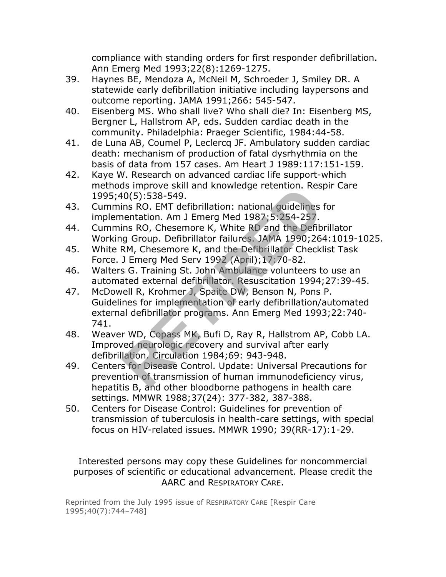compliance with standing orders for first responder defibrillation. Ann Emerg Med 1993;22(8):1269-1275.

- 39. Haynes BE, Mendoza A, McNeil M, Schroeder J, Smiley DR. A statewide early defibrillation initiative including laypersons and outcome reporting. JAMA 1991;266: 545-547.
- 40. Eisenberg MS. Who shall live? Who shall die? In: Eisenberg MS, Bergner L, Hallstrom AP, eds. Sudden cardiac death in the community. Philadelphia: Praeger Scientific, 1984:44-58.
- 41. de Luna AB, Coumel P, Leclercq JF. Ambulatory sudden cardiac death: mechanism of production of fatal dysrhythmia on the basis of data from 157 cases. Am Heart J 1989:117:151-159.
- 42. Kaye W. Research on advanced cardiac life support-which methods improve skill and knowledge retention. Respir Care 1995;40(5):538-549.
- 43. Cummins RO. EMT defibrillation: national guidelines for implementation. Am J Emerg Med 1987;5:254-257.
- 44. Cummins RO, Chesemore K, White RD and the Defibrillator Working Group. Defibrillator failures. JAMA 1990;264:1019-1025.
- 45. White RM, Chesemore K, and the Defibrillator Checklist Task Force. J Emerg Med Serv 1992 (April);17:70-82.
- 46. Walters G. Training St. John Ambulance volunteers to use an automated external defibrillator. Resuscitation 1994;27:39-45.
- 47. McDowell R, Krohmer J, Spaite DW, Benson N, Pons P. Guidelines for implementation of early defibrillation/automated external defibrillator programs. Ann Emerg Med 1993;22:740- 741. Id(5):538-549.<br>In RO. EMT defibrillation: national guidelines<br>nentation. Am J Emerg Med 1987;5:254-257.<br>ins RO, Chesemore K, White RD and the Defib<br>g Group. Defibrillator failures. JAMA 1990;26<sup>R</sup>M, Chesemore K, and the De
- 48. Weaver WD, Copass MK, Bufi D, Ray R, Hallstrom AP, Cobb LA. Improved neurologic recovery and survival after early defibrillation. Circulation 1984;69: 943-948.
- 49. Centers for Disease Control. Update: Universal Precautions for prevention of transmission of human immunodeficiency virus, hepatitis B, and other bloodborne pathogens in health care settings. MMWR 1988;37(24): 377-382, 387-388.
- 50. Centers for Disease Control: Guidelines for prevention of transmission of tuberculosis in health-care settings, with special focus on HIV-related issues. MMWR 1990; 39(RR-17):1-29.

Interested persons may copy these Guidelines for noncommercial purposes of scientific or educational advancement. Please credit the AARC and RESPIRATORY CARE.

Reprinted from the July 1995 issue of RESPIRATORY CARE [Respir Care 1995;40(7):744–748]